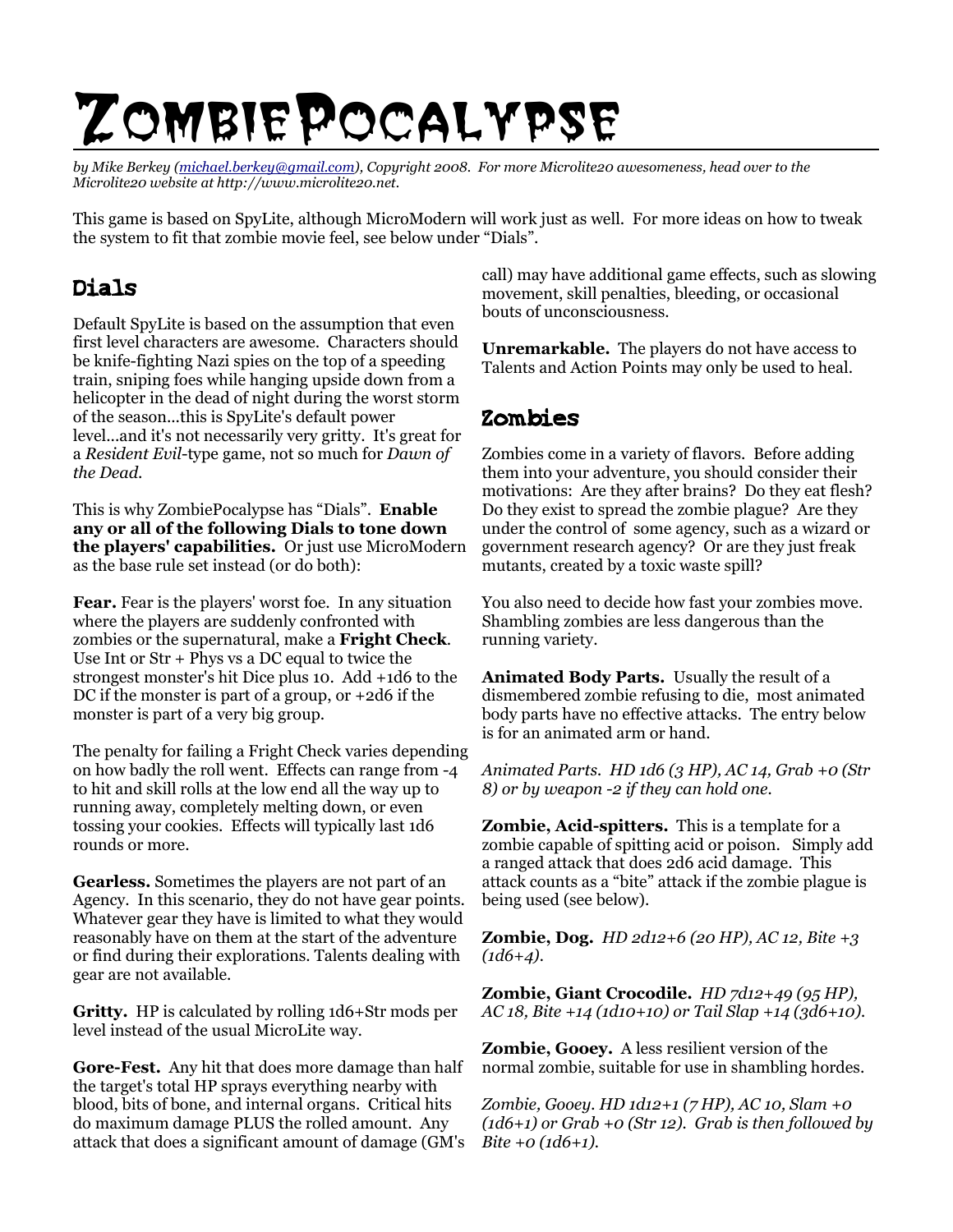# ZombiePocalypse

*by Mike Berkey [\(michael.berkey@gmail.com\)](mailto:michael.berkey@gmail.com), Copyright 2008. For more Microlite20 awesomeness, head over to the Microlite20 website at http://www.microlite20.net.*

This game is based on SpyLite, although MicroModern will work just as well. For more ideas on how to tweak the system to fit that zombie movie feel, see below under "Dials".

## Dials

Default SpyLite is based on the assumption that even first level characters are awesome. Characters should be knife-fighting Nazi spies on the top of a speeding train, sniping foes while hanging upside down from a helicopter in the dead of night during the worst storm of the season...this is SpyLite's default power level...and it's not necessarily very gritty. It's great for a *Resident Evil*-type game, not so much for *Dawn of the Dead*.

This is why ZombiePocalypse has "Dials". **Enable any or all of the following Dials to tone down the players' capabilities.** Or just use MicroModern as the base rule set instead (or do both):

**Fear.** Fear is the players' worst foe. In any situation where the players are suddenly confronted with zombies or the supernatural, make a **Fright Check**. Use Int or Str + Phys vs a DC equal to twice the strongest monster's hit Dice plus 10. Add +1d6 to the DC if the monster is part of a group, or +2d6 if the monster is part of a very big group.

The penalty for failing a Fright Check varies depending on how badly the roll went. Effects can range from -4 to hit and skill rolls at the low end all the way up to running away, completely melting down, or even tossing your cookies. Effects will typically last 1d6 rounds or more.

**Gearless.** Sometimes the players are not part of an Agency. In this scenario, they do not have gear points. Whatever gear they have is limited to what they would reasonably have on them at the start of the adventure or find during their explorations. Talents dealing with gear are not available.

**Gritty.** HP is calculated by rolling 1d6+Str mods per level instead of the usual MicroLite way.

**Gore-Fest.** Any hit that does more damage than half the target's total HP sprays everything nearby with blood, bits of bone, and internal organs. Critical hits do maximum damage PLUS the rolled amount. Any attack that does a significant amount of damage (GM's call) may have additional game effects, such as slowing movement, skill penalties, bleeding, or occasional bouts of unconsciousness.

**Unremarkable.** The players do not have access to Talents and Action Points may only be used to heal.

#### Zombies

Zombies come in a variety of flavors. Before adding them into your adventure, you should consider their motivations: Are they after brains? Do they eat flesh? Do they exist to spread the zombie plague? Are they under the control of some agency, such as a wizard or government research agency? Or are they just freak mutants, created by a toxic waste spill?

You also need to decide how fast your zombies move. Shambling zombies are less dangerous than the running variety.

**Animated Body Parts.** Usually the result of a dismembered zombie refusing to die, most animated body parts have no effective attacks. The entry below is for an animated arm or hand.

*Animated Parts. HD 1d6 (3 HP), AC 14, Grab +0 (Str 8) or by weapon -2 if they can hold one.*

**Zombie, Acid-spitters.** This is a template for a zombie capable of spitting acid or poison. Simply add a ranged attack that does 2d6 acid damage. This attack counts as a "bite" attack if the zombie plague is being used (see below).

**Zombie, Dog.** *HD 2d12+6 (20 HP), AC 12, Bite +3 (1d6+4).*

**Zombie, Giant Crocodile.** *HD 7d12+49 (95 HP), AC 18, Bite +14 (1d10+10) or Tail Slap +14 (3d6+10).*

**Zombie, Gooey.** A less resilient version of the normal zombie, suitable for use in shambling hordes.

*Zombie, Gooey. HD 1d12+1 (7 HP), AC 10, Slam +0 (1d6+1) or Grab +0 (Str 12). Grab is then followed by Bite +0 (1d6+1).*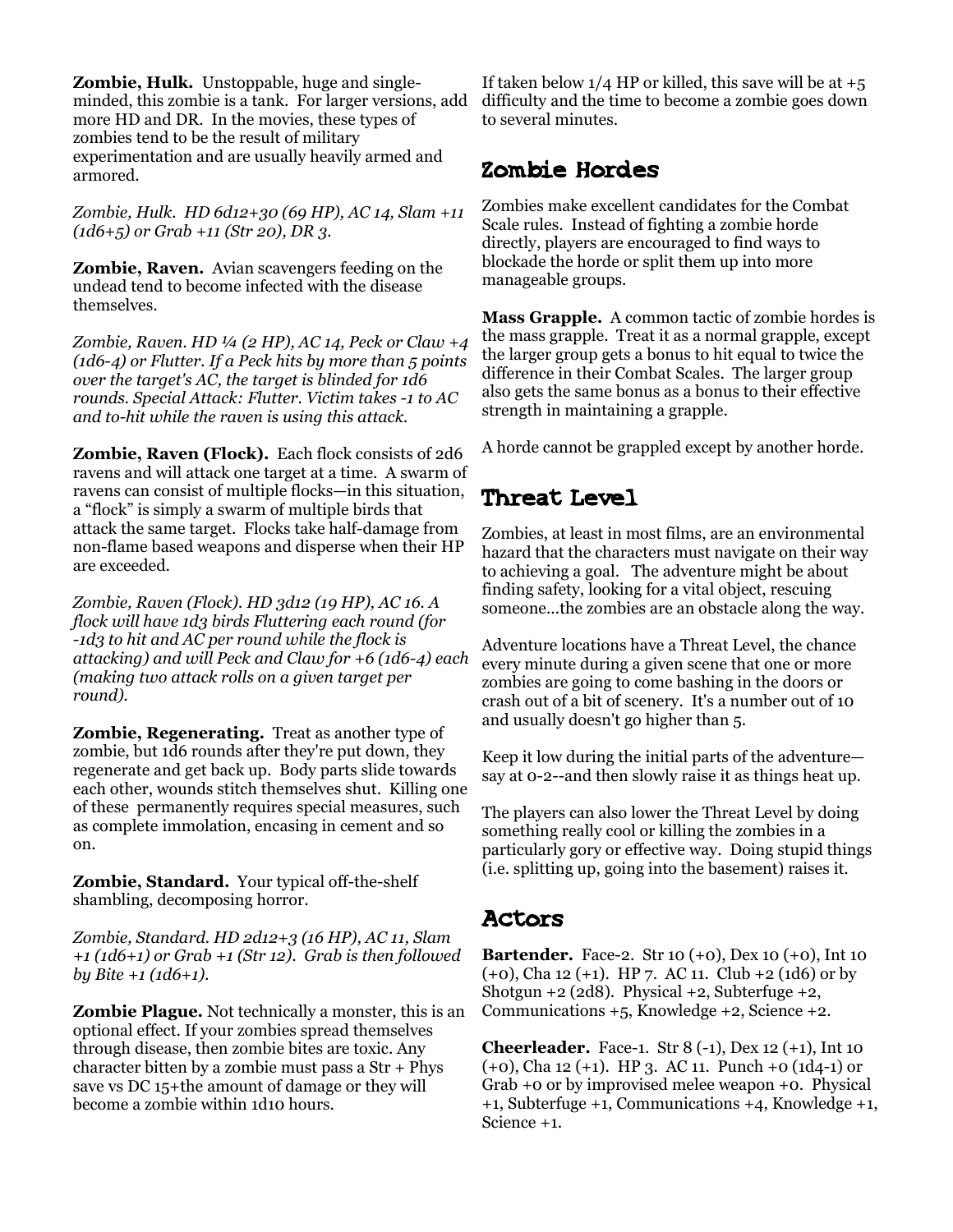**Zombie, Hulk.** Unstoppable, huge and singleminded, this zombie is a tank. For larger versions, add more HD and DR. In the movies, these types of zombies tend to be the result of military experimentation and are usually heavily armed and armored.

*Zombie, Hulk. HD 6d12+30 (69 HP), AC 14, Slam +11 (1d6+5) or Grab +11 (Str 20), DR 3.*

**Zombie, Raven.** Avian scavengers feeding on the undead tend to become infected with the disease themselves.

*Zombie, Raven. HD ¼ (2 HP), AC 14, Peck or Claw +4 (1d6-4) or Flutter. If a Peck hits by more than 5 points over the target's AC, the target is blinded for 1d6 rounds. Special Attack: Flutter. Victim takes -1 to AC and to-hit while the raven is using this attack.*

**Zombie, Raven (Flock).** Each flock consists of 2d6 ravens and will attack one target at a time. A swarm of ravens can consist of multiple flocks—in this situation, a "flock" is simply a swarm of multiple birds that attack the same target. Flocks take half-damage from non-flame based weapons and disperse when their HP are exceeded.

*Zombie, Raven (Flock). HD 3d12 (19 HP), AC 16. A flock will have 1d3 birds Fluttering each round (for -1d3 to hit and AC per round while the flock is attacking) and will Peck and Claw for +6 (1d6-4) each (making two attack rolls on a given target per round).*

**Zombie, Regenerating.** Treat as another type of zombie, but 1d6 rounds after they're put down, they regenerate and get back up. Body parts slide towards each other, wounds stitch themselves shut. Killing one of these permanently requires special measures, such as complete immolation, encasing in cement and so on.

**Zombie, Standard.** Your typical off-the-shelf shambling, decomposing horror.

*Zombie, Standard. HD 2d12+3 (16 HP), AC 11, Slam +1 (1d6+1) or Grab +1 (Str 12). Grab is then followed by Bite +1 (1d6+1).*

**Zombie Plague.** Not technically a monster, this is an optional effect. If your zombies spread themselves through disease, then zombie bites are toxic. Any character bitten by a zombie must pass a Str + Phys save vs DC 15+the amount of damage or they will become a zombie within 1d10 hours.

If taken below  $1/4$  HP or killed, this save will be at  $+5$ difficulty and the time to become a zombie goes down to several minutes.

#### Zombie Hordes

Zombies make excellent candidates for the Combat Scale rules. Instead of fighting a zombie horde directly, players are encouraged to find ways to blockade the horde or split them up into more manageable groups.

**Mass Grapple.** A common tactic of zombie hordes is the mass grapple. Treat it as a normal grapple, except the larger group gets a bonus to hit equal to twice the difference in their Combat Scales. The larger group also gets the same bonus as a bonus to their effective strength in maintaining a grapple.

A horde cannot be grappled except by another horde.

## Threat Level

Zombies, at least in most films, are an environmental hazard that the characters must navigate on their way to achieving a goal. The adventure might be about finding safety, looking for a vital object, rescuing someone...the zombies are an obstacle along the way.

Adventure locations have a Threat Level, the chance every minute during a given scene that one or more zombies are going to come bashing in the doors or crash out of a bit of scenery. It's a number out of 10 and usually doesn't go higher than 5.

Keep it low during the initial parts of the adventure say at 0-2--and then slowly raise it as things heat up.

The players can also lower the Threat Level by doing something really cool or killing the zombies in a particularly gory or effective way. Doing stupid things (i.e. splitting up, going into the basement) raises it.

## Actors

**Bartender.** Face-2. Str 10 (+0), Dex 10 (+0), Int 10 (+0), Cha 12 (+1). HP 7. AC 11. Club +2 (1d6) or by Shotgun +2 (2d8). Physical +2, Subterfuge +2, Communications +5, Knowledge +2, Science +2.

**Cheerleader.** Face-1. Str 8 (-1), Dex 12 (+1), Int 10 (+0), Cha 12 (+1). HP 3. AC 11. Punch +0 (1d4-1) or Grab +0 or by improvised melee weapon +0. Physical +1, Subterfuge +1, Communications +4, Knowledge +1, Science +1.